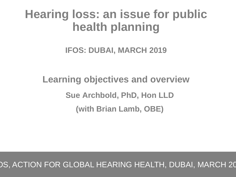# **Hearing loss: an issue for public health planning**

### **IFOS: DUBAI, MARCH 2019**

# **Learning objectives and overview Sue Archbold, PhD, Hon LLD (with Brian Lamb, OBE)**

### DS, ACTION FOR GLOBAL HEARING HEALTH, DUBAI, MARCH 20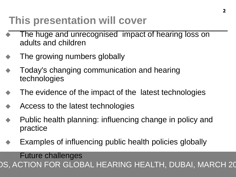# **This presentation will cover**

- The huge and unrecognised impact of hearing loss on adults and children
- The growing numbers globally
- Today's changing communication and hearing technologies
- The evidence of the impact of the latest technologies
- Access to the latest technologies
- Public health planning: influencing change in policy and practice
- Examples of influencing public health policies globally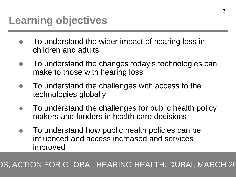- To understand the wider impact of hearing loss in children and adults
- To understand the changes today's technologies can make to those with hearing loss
- To understand the challenges with access to the technologies globally
- To understand the challenges for public health policy makers and funders in health care decisions
- To understand how public health policies can be influenced and access increased and services improved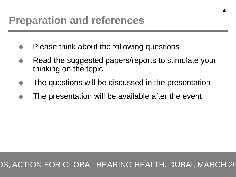### **Preparation and references**

- Please think about the following questions
- Read the suggested papers/reports to stimulate your thinking on the topic
- The questions will be discussed in the presentation
- The presentation will be available after the event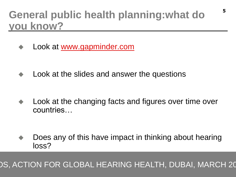### **General public health planning:what do you know?**

Look at [www.gapminder.com](http://www.gapminder.com/)

Look at the slides and answer the questions

 Look at the changing facts and figures over time over countries…

 Does any of this have impact in thinking about hearing loss?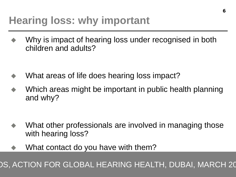## **Hearing loss: why important**

 Why is impact of hearing loss under recognised in both children and adults?

- What areas of life does hearing loss impact?
- Which areas might be important in public health planning and why?

- What other professionals are involved in managing those with hearing loss?
- What contact do you have with them?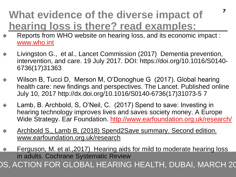### **What evidence of the diverse impact of hearing loss is there? read examples:**

 Reports from WHO website on hearing loss, and its economic impact : [www.who.int](http://www.who.int/)

**7**

- Livingston G., et al., Lancet Commission (2017) Dementia prevention, intervention, and care. 19 July 2017. DOI: https://doi.org/10.1016/S0140- 6736(17)31363
- Wilson B, Tucci D, Merson M, O'Donoghue G (2017). Global hearing health care: new findings and perspectives. The Lancet. Published online July 10, 2017 http://dx.doi.org/10.1016/S0140-6736(17)31073-5 7
- Lamb, B. Archbold, S, O'Neil, C. (2017) Spend to save: Investing in hearing technology improves lives and saves society money. A Europe Wide Strategy. Ear Foundation. <http://www.earfoundation.org.uk/research/>
- Archbold S., Lamb B, (2018) Spend2Save summary. Second edition. www.earfoundation.org.uk/research
- JO, AUTIUN FUN GLUDAL HEANING HEALTH, DUDAI, MANUH ZU DS, ACTION FOR GLOBAL HEARING HEALTH, DUBAI, MARCH 20 Ferguson, M. et al.,2017) Hearing aids for mild to moderate hearing loss in adults. Cochrane Systematic Review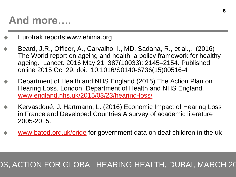### **And more….**

- Eurotrak reports:www.ehima.org
- Beard, J,R., Officer, A., Carvalho, I., MD, Sadana, R., et al.,. (2016) The World report on ageing and health: a policy framework for healthy ageing. Lancet. 2016 May 21; 387(10033): 2145–2154. Published online 2015 Oct 29. doi: 10.1016/S0140-6736(15)00516-4
- Department of Health and NHS England (2015) The Action Plan on Hearing Loss. London: Department of Health and NHS England. [www.england.nhs.uk/2015/03/23/hearing-loss/](http://www.england.nhs.uk/2015/03/23/hearing-loss/)
- Kervasdoué, J. Hartmann, L. (2016) Economic Impact of Hearing Loss in France and Developed Countries A survey of academic literature 2005-2015.
- [www.batod.org.uk/cride](http://www.batod.org.uk/cride) for government data on deaf children in the uk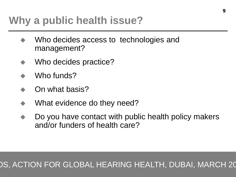## **Why a public health issue?**

- Who decides access to technologies and management?
- Who decides practice?
- Who funds?
- On what basis?
- What evidence do they need?
- Do you have contact with public health policy makers and/or funders of health care?